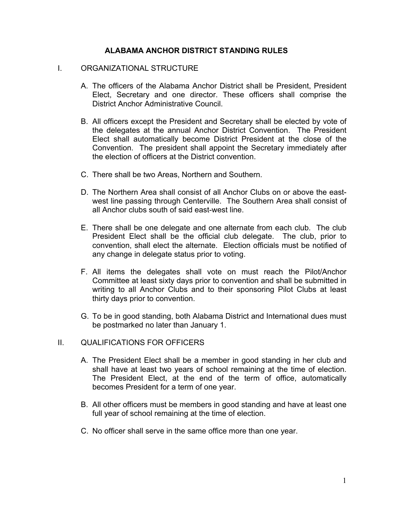# **ALABAMA ANCHOR DISTRICT STANDING RULES**

### I. ORGANIZATIONAL STRUCTURE

- A. The officers of the Alabama Anchor District shall be President, President Elect, Secretary and one director. These officers shall comprise the District Anchor Administrative Council.
- B. All officers except the President and Secretary shall be elected by vote of the delegates at the annual Anchor District Convention. The President Elect shall automatically become District President at the close of the Convention. The president shall appoint the Secretary immediately after the election of officers at the District convention.
- C. There shall be two Areas, Northern and Southern.
- D. The Northern Area shall consist of all Anchor Clubs on or above the eastwest line passing through Centerville. The Southern Area shall consist of all Anchor clubs south of said east-west line.
- E. There shall be one delegate and one alternate from each club. The club President Elect shall be the official club delegate. The club, prior to convention, shall elect the alternate. Election officials must be notified of any change in delegate status prior to voting.
- F. All items the delegates shall vote on must reach the Pilot/Anchor Committee at least sixty days prior to convention and shall be submitted in writing to all Anchor Clubs and to their sponsoring Pilot Clubs at least thirty days prior to convention.
- G. To be in good standing, both Alabama District and International dues must be postmarked no later than January 1.

# II. QUALIFICATIONS FOR OFFICERS

- A. The President Elect shall be a member in good standing in her club and shall have at least two years of school remaining at the time of election. The President Elect, at the end of the term of office, automatically becomes President for a term of one year.
- B. All other officers must be members in good standing and have at least one full year of school remaining at the time of election.
- C. No officer shall serve in the same office more than one year.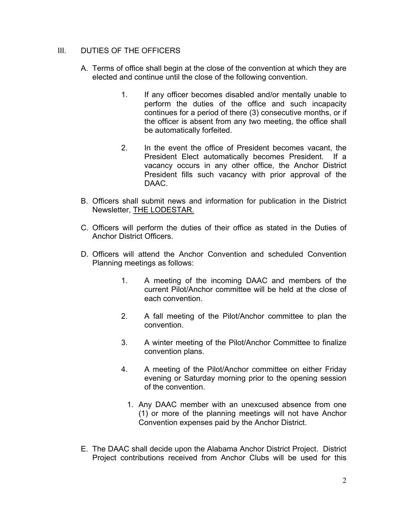# III. DUTIES OF THE OFFICERS

- A. Terms of office shall begin at the close of the convention at which they are elected and continue until the close of the following convention.
	- 1. If any officer becomes disabled and/or mentally unable to perform the duties of the office and such incapacity continues for a period of there (3) consecutive months, or if the officer is absent from any two meeting, the office shall be automatically forfeited.
	- 2. In the event the office of President becomes vacant, the President Elect automatically becomes President. If a vacancy occurs in any other office, the Anchor District President fills such vacancy with prior approval of the DAAC.
- B. Officers shall submit news and information for publication in the District Newsletter, THE LODESTAR.
- C. Officers will perform the duties of their office as stated in the Duties of Anchor District Officers.
- D. Officers will attend the Anchor Convention and scheduled Convention Planning meetings as follows:
	- 1. A meeting of the incoming DAAC and members of the current Pilot/Anchor committee will be held at the close of each convention.
	- 2. A fall meeting of the Pilot/Anchor committee to plan the convention.
	- 3. A winter meeting of the Pilot/Anchor Committee to finalize convention plans.
	- 4. A meeting of the Pilot/Anchor committee on either Friday evening or Saturday morning prior to the opening session of the convention.
		- 1. Any DAAC member with an unexcused absence from one (1) or more of the planning meetings will not have Anchor Convention expenses paid by the Anchor District.
- E. The DAAC shall decide upon the Alabama Anchor District Project. District Project contributions received from Anchor Clubs will be used for this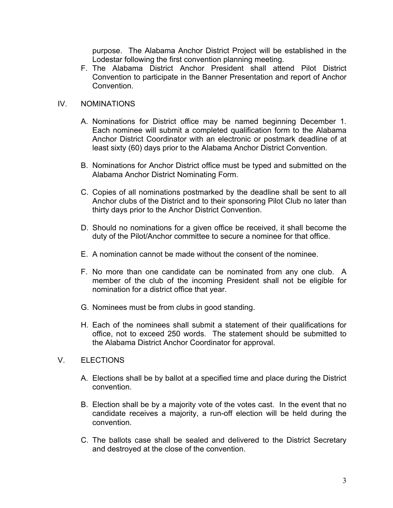purpose. The Alabama Anchor District Project will be established in the Lodestar following the first convention planning meeting.

F. The Alabama District Anchor President shall attend Pilot District Convention to participate in the Banner Presentation and report of Anchor **Convention** 

# IV. NOMINATIONS

- A. Nominations for District office may be named beginning December 1. Each nominee will submit a completed qualification form to the Alabama Anchor District Coordinator with an electronic or postmark deadline of at least sixty (60) days prior to the Alabama Anchor District Convention.
- B. Nominations for Anchor District office must be typed and submitted on the Alabama Anchor District Nominating Form.
- C. Copies of all nominations postmarked by the deadline shall be sent to all Anchor clubs of the District and to their sponsoring Pilot Club no later than thirty days prior to the Anchor District Convention.
- D. Should no nominations for a given office be received, it shall become the duty of the Pilot/Anchor committee to secure a nominee for that office.
- E. A nomination cannot be made without the consent of the nominee.
- F. No more than one candidate can be nominated from any one club. A member of the club of the incoming President shall not be eligible for nomination for a district office that year.
- G. Nominees must be from clubs in good standing.
- H. Each of the nominees shall submit a statement of their qualifications for office, not to exceed 250 words. The statement should be submitted to the Alabama District Anchor Coordinator for approval.

# V. ELECTIONS

- A. Elections shall be by ballot at a specified time and place during the District convention.
- B. Election shall be by a majority vote of the votes cast. In the event that no candidate receives a majority, a run-off election will be held during the convention.
- C. The ballots case shall be sealed and delivered to the District Secretary and destroyed at the close of the convention.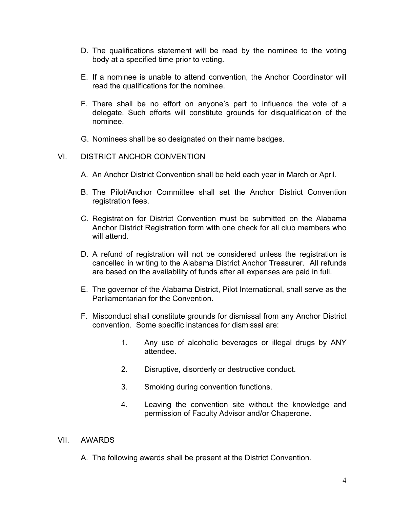- D. The qualifications statement will be read by the nominee to the voting body at a specified time prior to voting.
- E. If a nominee is unable to attend convention, the Anchor Coordinator will read the qualifications for the nominee.
- F. There shall be no effort on anyone's part to influence the vote of a delegate. Such efforts will constitute grounds for disqualification of the nominee.
- G. Nominees shall be so designated on their name badges.

### VI. DISTRICT ANCHOR CONVENTION

- A. An Anchor District Convention shall be held each year in March or April.
- B. The Pilot/Anchor Committee shall set the Anchor District Convention registration fees.
- C. Registration for District Convention must be submitted on the Alabama Anchor District Registration form with one check for all club members who will attend.
- D. A refund of registration will not be considered unless the registration is cancelled in writing to the Alabama District Anchor Treasurer. All refunds are based on the availability of funds after all expenses are paid in full.
- E. The governor of the Alabama District, Pilot International, shall serve as the Parliamentarian for the Convention.
- F. Misconduct shall constitute grounds for dismissal from any Anchor District convention. Some specific instances for dismissal are:
	- 1. Any use of alcoholic beverages or illegal drugs by ANY attendee.
	- 2. Disruptive, disorderly or destructive conduct.
	- 3. Smoking during convention functions.
	- 4. Leaving the convention site without the knowledge and permission of Faculty Advisor and/or Chaperone.

#### VII. AWARDS

A. The following awards shall be present at the District Convention.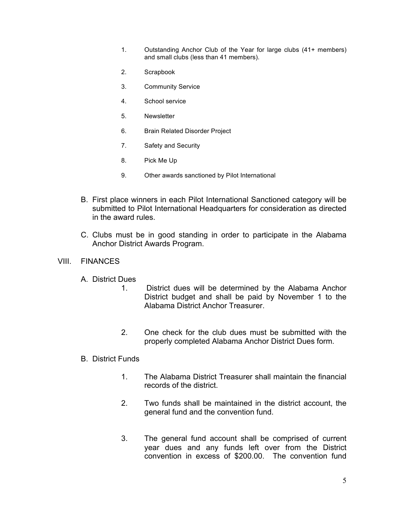- 1. Outstanding Anchor Club of the Year for large clubs (41+ members) and small clubs (less than 41 members).
- 2. Scrapbook
- 3. Community Service
- 4. School service
- 5. Newsletter
- 6. Brain Related Disorder Project
- 7. Safety and Security
- 8. Pick Me Up
- 9. Other awards sanctioned by Pilot International
- B. First place winners in each Pilot International Sanctioned category will be submitted to Pilot International Headquarters for consideration as directed in the award rules.
- C. Clubs must be in good standing in order to participate in the Alabama Anchor District Awards Program.

#### VIII. FINANCES

- A. District Dues
	- 1. District dues will be determined by the Alabama Anchor District budget and shall be paid by November 1 to the Alabama District Anchor Treasurer.
	- 2. One check for the club dues must be submitted with the properly completed Alabama Anchor District Dues form.

# B. District Funds

- 1. The Alabama District Treasurer shall maintain the financial records of the district.
- 2. Two funds shall be maintained in the district account, the general fund and the convention fund.
- 3. The general fund account shall be comprised of current year dues and any funds left over from the District convention in excess of \$200.00. The convention fund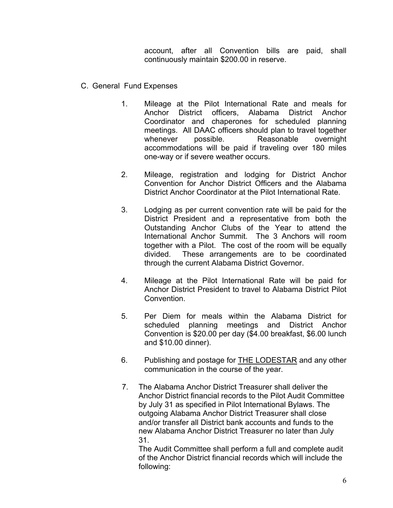account, after all Convention bills are paid, shall continuously maintain \$200.00 in reserve.

- C. General Fund Expenses
	- 1. Mileage at the Pilot International Rate and meals for Anchor District officers, Alabama District Anchor Coordinator and chaperones for scheduled planning meetings. All DAAC officers should plan to travel together whenever possible. Reasonable overnight accommodations will be paid if traveling over 180 miles one-way or if severe weather occurs.
	- 2. Mileage, registration and lodging for District Anchor Convention for Anchor District Officers and the Alabama District Anchor Coordinator at the Pilot International Rate.
	- 3. Lodging as per current convention rate will be paid for the District President and a representative from both the Outstanding Anchor Clubs of the Year to attend the International Anchor Summit. The 3 Anchors will room together with a Pilot. The cost of the room will be equally divided. These arrangements are to be coordinated through the current Alabama District Governor.
	- 4. Mileage at the Pilot International Rate will be paid for Anchor District President to travel to Alabama District Pilot Convention.
	- 5. Per Diem for meals within the Alabama District for scheduled planning meetings and District Anchor Convention is \$20.00 per day (\$4.00 breakfast, \$6.00 lunch and \$10.00 dinner).
	- 6. Publishing and postage for THE LODESTAR and any other communication in the course of the year.
	- 7. The Alabama Anchor District Treasurer shall deliver the Anchor District financial records to the Pilot Audit Committee by July 31 as specified in Pilot International Bylaws. The outgoing Alabama Anchor District Treasurer shall close and/or transfer all District bank accounts and funds to the new Alabama Anchor District Treasurer no later than July 31.

The Audit Committee shall perform a full and complete audit of the Anchor District financial records which will include the following: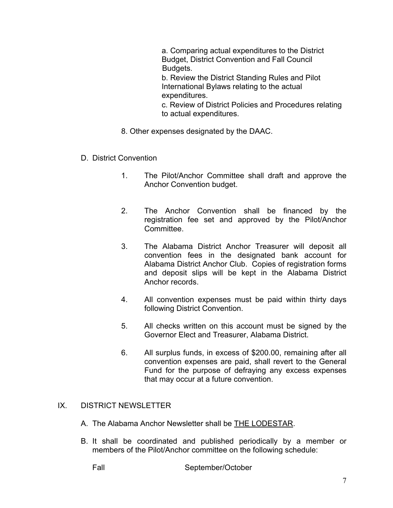a. Comparing actual expenditures to the District Budget, District Convention and Fall Council Budgets.

b. Review the District Standing Rules and Pilot International Bylaws relating to the actual expenditures.

c. Review of District Policies and Procedures relating to actual expenditures.

- 8. Other expenses designated by the DAAC.
- D. District Convention
	- 1. The Pilot/Anchor Committee shall draft and approve the Anchor Convention budget.
	- 2. The Anchor Convention shall be financed by the registration fee set and approved by the Pilot/Anchor Committee.
	- 3. The Alabama District Anchor Treasurer will deposit all convention fees in the designated bank account for Alabama District Anchor Club. Copies of registration forms and deposit slips will be kept in the Alabama District Anchor records.
	- 4. All convention expenses must be paid within thirty days following District Convention.
	- 5. All checks written on this account must be signed by the Governor Elect and Treasurer, Alabama District.
	- 6. All surplus funds, in excess of \$200.00, remaining after all convention expenses are paid, shall revert to the General Fund for the purpose of defraying any excess expenses that may occur at a future convention.

# IX. DISTRICT NEWSLETTER

- A. The Alabama Anchor Newsletter shall be THE LODESTAR.
- B. It shall be coordinated and published periodically by a member or members of the Pilot/Anchor committee on the following schedule:

Fall September/October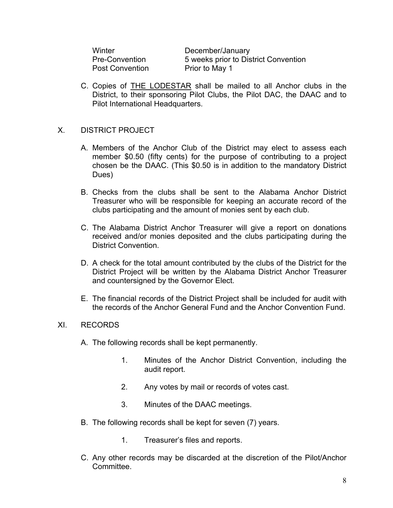Post Convention Prior to May 1

Winter December/January Pre-Convention 5 weeks prior to District Convention

C. Copies of THE LODESTAR shall be mailed to all Anchor clubs in the District, to their sponsoring Pilot Clubs, the Pilot DAC, the DAAC and to Pilot International Headquarters.

# X. DISTRICT PROJECT

- A. Members of the Anchor Club of the District may elect to assess each member \$0.50 (fifty cents) for the purpose of contributing to a project chosen be the DAAC. (This \$0.50 is in addition to the mandatory District Dues)
- B. Checks from the clubs shall be sent to the Alabama Anchor District Treasurer who will be responsible for keeping an accurate record of the clubs participating and the amount of monies sent by each club.
- C. The Alabama District Anchor Treasurer will give a report on donations received and/or monies deposited and the clubs participating during the District Convention.
- D. A check for the total amount contributed by the clubs of the District for the District Project will be written by the Alabama District Anchor Treasurer and countersigned by the Governor Elect.
- E. The financial records of the District Project shall be included for audit with the records of the Anchor General Fund and the Anchor Convention Fund.

#### XI. RECORDS

- A. The following records shall be kept permanently.
	- 1. Minutes of the Anchor District Convention, including the audit report.
	- 2. Any votes by mail or records of votes cast.
	- 3. Minutes of the DAAC meetings.
- B. The following records shall be kept for seven (7) years.
	- 1. Treasurer's files and reports.
- C. Any other records may be discarded at the discretion of the Pilot/Anchor **Committee.**